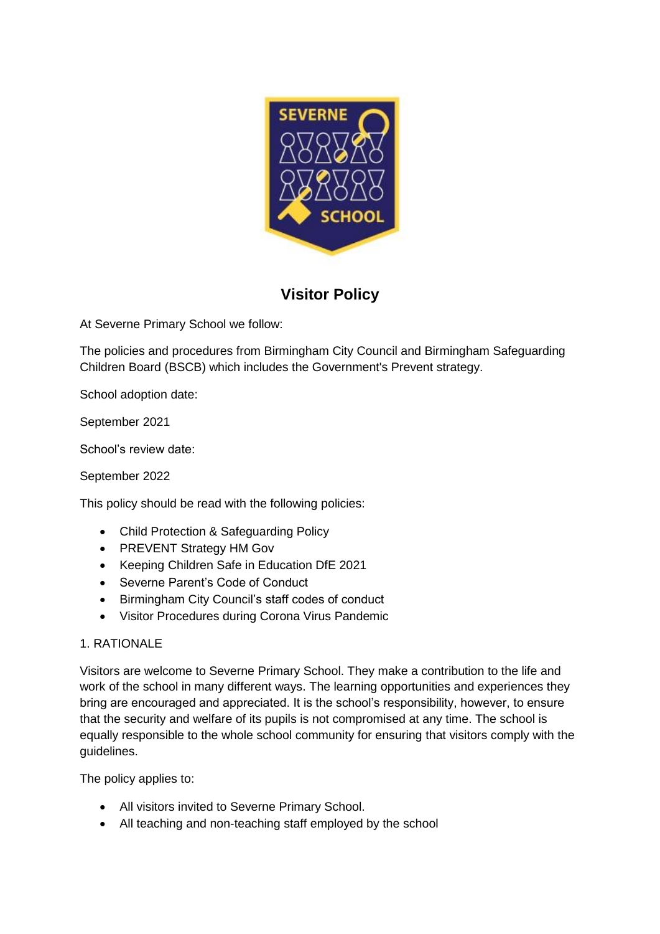

# **Visitor Policy**

At Severne Primary School we follow:

The policies and procedures from Birmingham City Council and Birmingham Safeguarding Children Board (BSCB) which includes the Government's Prevent strategy.

School adoption date:

September 2021

School's review date:

September 2022

This policy should be read with the following policies:

- Child Protection & Safeguarding Policy
- PREVENT Strategy HM Gov
- Keeping Children Safe in Education DfE 2021
- Severne Parent's Code of Conduct
- Birmingham City Council's staff codes of conduct
- Visitor Procedures during Corona Virus Pandemic

#### 1. RATIONALE

Visitors are welcome to Severne Primary School. They make a contribution to the life and work of the school in many different ways. The learning opportunities and experiences they bring are encouraged and appreciated. It is the school's responsibility, however, to ensure that the security and welfare of its pupils is not compromised at any time. The school is equally responsible to the whole school community for ensuring that visitors comply with the guidelines.

The policy applies to:

- All visitors invited to Severne Primary School.
- All teaching and non-teaching staff employed by the school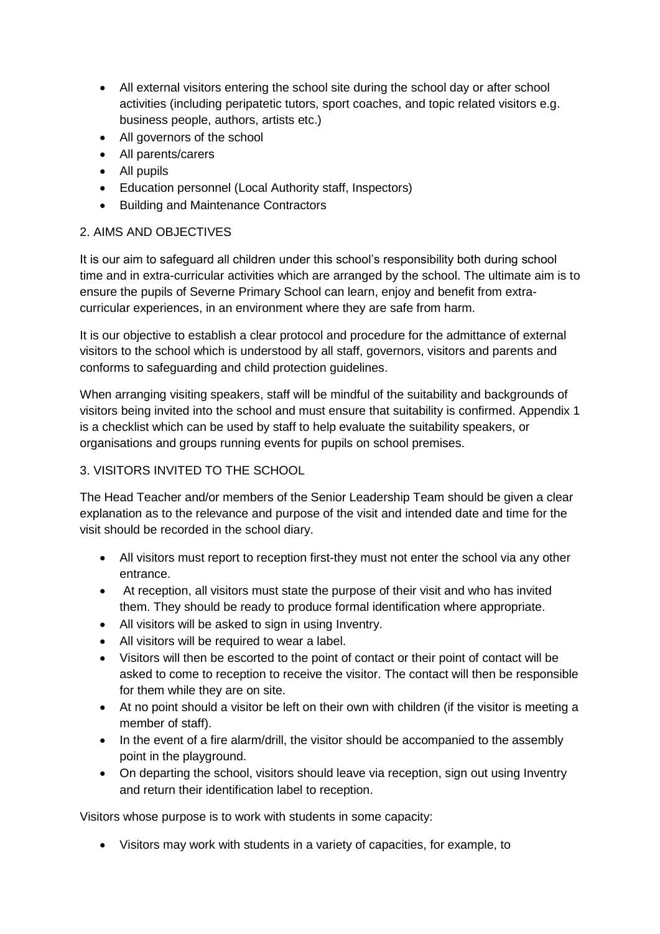- All external visitors entering the school site during the school day or after school activities (including peripatetic tutors, sport coaches, and topic related visitors e.g. business people, authors, artists etc.)
- All governors of the school
- All parents/carers
- All pupils
- Education personnel (Local Authority staff, Inspectors)
- Building and Maintenance Contractors

#### 2. AIMS AND OBJECTIVES

It is our aim to safeguard all children under this school's responsibility both during school time and in extra-curricular activities which are arranged by the school. The ultimate aim is to ensure the pupils of Severne Primary School can learn, enjoy and benefit from extracurricular experiences, in an environment where they are safe from harm.

It is our objective to establish a clear protocol and procedure for the admittance of external visitors to the school which is understood by all staff, governors, visitors and parents and conforms to safeguarding and child protection guidelines.

When arranging visiting speakers, staff will be mindful of the suitability and backgrounds of visitors being invited into the school and must ensure that suitability is confirmed. Appendix 1 is a checklist which can be used by staff to help evaluate the suitability speakers, or organisations and groups running events for pupils on school premises.

#### 3. VISITORS INVITED TO THE SCHOOL

The Head Teacher and/or members of the Senior Leadership Team should be given a clear explanation as to the relevance and purpose of the visit and intended date and time for the visit should be recorded in the school diary.

- All visitors must report to reception first-they must not enter the school via any other entrance.
- At reception, all visitors must state the purpose of their visit and who has invited them. They should be ready to produce formal identification where appropriate.
- All visitors will be asked to sign in using Inventry.
- All visitors will be required to wear a label.
- Visitors will then be escorted to the point of contact or their point of contact will be asked to come to reception to receive the visitor. The contact will then be responsible for them while they are on site.
- At no point should a visitor be left on their own with children (if the visitor is meeting a member of staff).
- In the event of a fire alarm/drill, the visitor should be accompanied to the assembly point in the playground.
- On departing the school, visitors should leave via reception, sign out using Inventry and return their identification label to reception.

Visitors whose purpose is to work with students in some capacity:

• Visitors may work with students in a variety of capacities, for example, to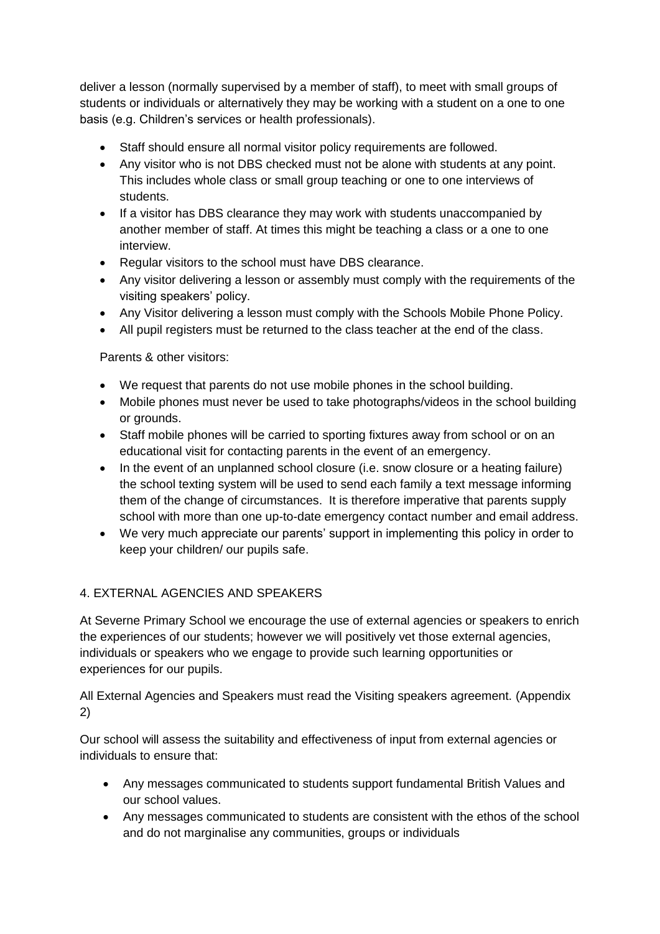deliver a lesson (normally supervised by a member of staff), to meet with small groups of students or individuals or alternatively they may be working with a student on a one to one basis (e.g. Children's services or health professionals).

- Staff should ensure all normal visitor policy requirements are followed.
- Any visitor who is not DBS checked must not be alone with students at any point. This includes whole class or small group teaching or one to one interviews of students.
- If a visitor has DBS clearance they may work with students unaccompanied by another member of staff. At times this might be teaching a class or a one to one interview.
- Regular visitors to the school must have DBS clearance.
- Any visitor delivering a lesson or assembly must comply with the requirements of the visiting speakers' policy.
- Any Visitor delivering a lesson must comply with the Schools Mobile Phone Policy.
- All pupil registers must be returned to the class teacher at the end of the class.

Parents & other visitors:

- We request that parents do not use mobile phones in the school building.
- Mobile phones must never be used to take photographs/videos in the school building or grounds.
- Staff mobile phones will be carried to sporting fixtures away from school or on an educational visit for contacting parents in the event of an emergency.
- In the event of an unplanned school closure (i.e. snow closure or a heating failure) the school texting system will be used to send each family a text message informing them of the change of circumstances. It is therefore imperative that parents supply school with more than one up-to-date emergency contact number and email address.
- We very much appreciate our parents' support in implementing this policy in order to keep your children/ our pupils safe.

#### 4. EXTERNAL AGENCIES AND SPEAKERS

At Severne Primary School we encourage the use of external agencies or speakers to enrich the experiences of our students; however we will positively vet those external agencies, individuals or speakers who we engage to provide such learning opportunities or experiences for our pupils.

All External Agencies and Speakers must read the Visiting speakers agreement. (Appendix 2)

Our school will assess the suitability and effectiveness of input from external agencies or individuals to ensure that:

- Any messages communicated to students support fundamental British Values and our school values.
- Any messages communicated to students are consistent with the ethos of the school and do not marginalise any communities, groups or individuals